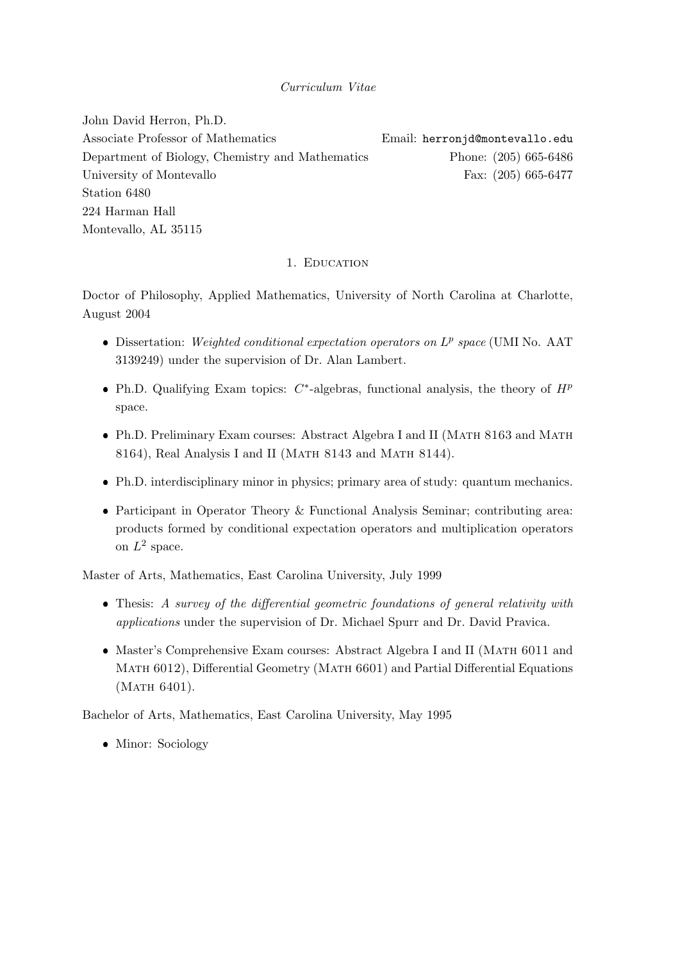### Curriculum Vitae

John David Herron, Ph.D. Associate Professor of Mathematics **Email: herronjd@montevallo.edu** Department of Biology, Chemistry and Mathematics Phone: (205) 665-6486 University of Montevallo Fax: (205) 665-6477 Station 6480 224 Harman Hall Montevallo, AL 35115

#### 1. EDUCATION

Doctor of Philosophy, Applied Mathematics, University of North Carolina at Charlotte, August 2004

- Dissertation: Weighted conditional expectation operators on  $L^p$  space (UMI No. AAT 3139249) under the supervision of Dr. Alan Lambert.
- Ph.D. Qualifying Exam topics:  $C^*$ -algebras, functional analysis, the theory of  $H^p$ space.
- Ph.D. Preliminary Exam courses: Abstract Algebra I and II (MATH 8163 and MATH 8164), Real Analysis I and II (MATH 8143 and MATH 8144).
- Ph.D. interdisciplinary minor in physics; primary area of study: quantum mechanics.
- Participant in Operator Theory & Functional Analysis Seminar; contributing area: products formed by conditional expectation operators and multiplication operators on  $L^2$  space.

Master of Arts, Mathematics, East Carolina University, July 1999

- Thesis: A survey of the differential geometric foundations of general relativity with applications under the supervision of Dr. Michael Spurr and Dr. David Pravica.
- Master's Comprehensive Exam courses: Abstract Algebra I and II (MATH 6011 and Math 6012), Differential Geometry (Math 6601) and Partial Differential Equations (MATH 6401).

Bachelor of Arts, Mathematics, East Carolina University, May 1995

• Minor: Sociology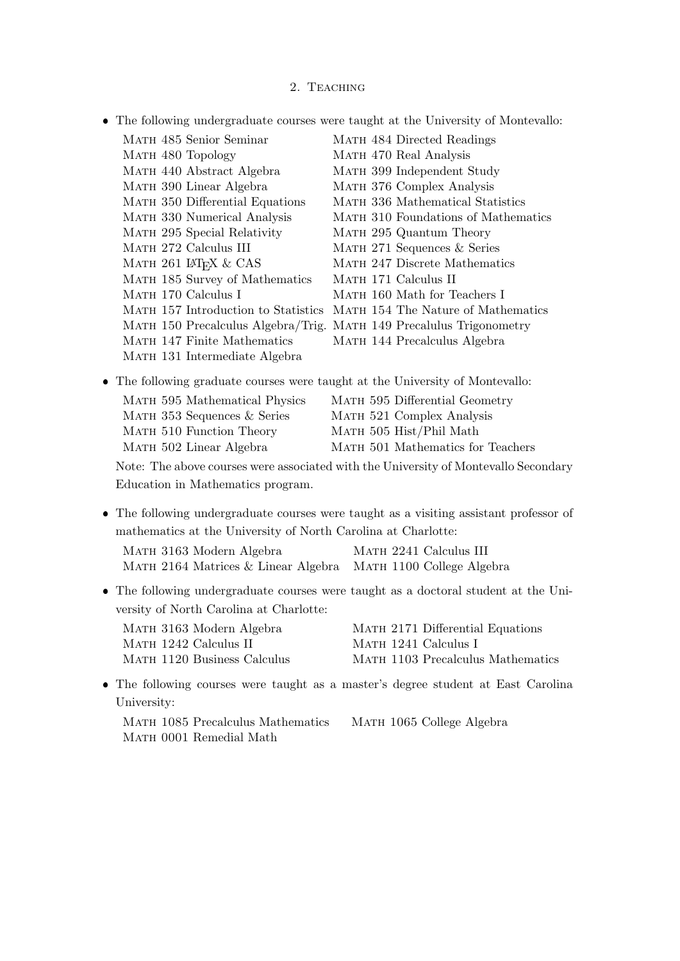### 2. TEACHING

The following undergraduate courses were taught at the University of Montevallo:

| MATH 485 Senior Seminar             |  | MATH 484 Directed Readings          |
|-------------------------------------|--|-------------------------------------|
| MATH 480 Topology                   |  | MATH 470 Real Analysis              |
| MATH 440 Abstract Algebra           |  | MATH 399 Independent Study          |
| MATH 390 Linear Algebra             |  | MATH 376 Complex Analysis           |
| MATH 350 Differential Equations     |  | MATH 336 Mathematical Statistics    |
| MATH 330 Numerical Analysis         |  | MATH 310 Foundations of Mathematics |
| MATH 295 Special Relativity         |  | MATH 295 Quantum Theory             |
| MATH 272 Calculus III               |  | MATH 271 Sequences & Series         |
| MATH 261 LATEX & CAS                |  | MATH 247 Discrete Mathematics       |
| MATH 185 Survey of Mathematics      |  | MATH 171 Calculus II                |
| МАТН 170 Calculus I                 |  | MATH 160 Math for Teachers I        |
| MATH 157 Introduction to Statistics |  | MATH 154 The Nature of Mathematics  |
| MATH 150 Precalculus Algebra/Trig.  |  | MATH 149 Precalulus Trigonometry    |
| MATH 147 Finite Mathematics         |  | MATH 144 Precalculus Algebra        |
| MATH 131 Intermediate Algebra       |  |                                     |

The following graduate courses were taught at the University of Montevallo:

| MATH 595 Mathematical Physics | MATH 595 Differential Geometry    |
|-------------------------------|-----------------------------------|
| MATH 353 Sequences & Series   | MATH 521 Complex Analysis         |
| MATH 510 Function Theory      | MATH 505 Hist/Phil Math           |
| MATH 502 Linear Algebra       | MATH 501 Mathematics for Teachers |

Note: The above courses were associated with the University of Montevallo Secondary Education in Mathematics program.

- The following undergraduate courses were taught as a visiting assistant professor of mathematics at the University of North Carolina at Charlotte: Math 3163 Modern Algebra Math 2241 Calculus III Math 2164 Matrices & Linear Algebra Math 1100 College Algebra
- The following undergraduate courses were taught as a doctoral student at the University of North Carolina at Charlotte:

| MATH 3163 Modern Algebra    | MATH 2171 Differential Equations  |
|-----------------------------|-----------------------------------|
| MATH 1242 Calculus II       | MATH 1241 Calculus I              |
| MATH 1120 Business Calculus | MATH 1103 Precalculus Mathematics |

 The following courses were taught as a master's degree student at East Carolina University:

|  | MATH 1085 Precalculus Mathematics |  | MATH 1065 College Algebra |
|--|-----------------------------------|--|---------------------------|
|  | MATH 0001 Remedial Math           |  |                           |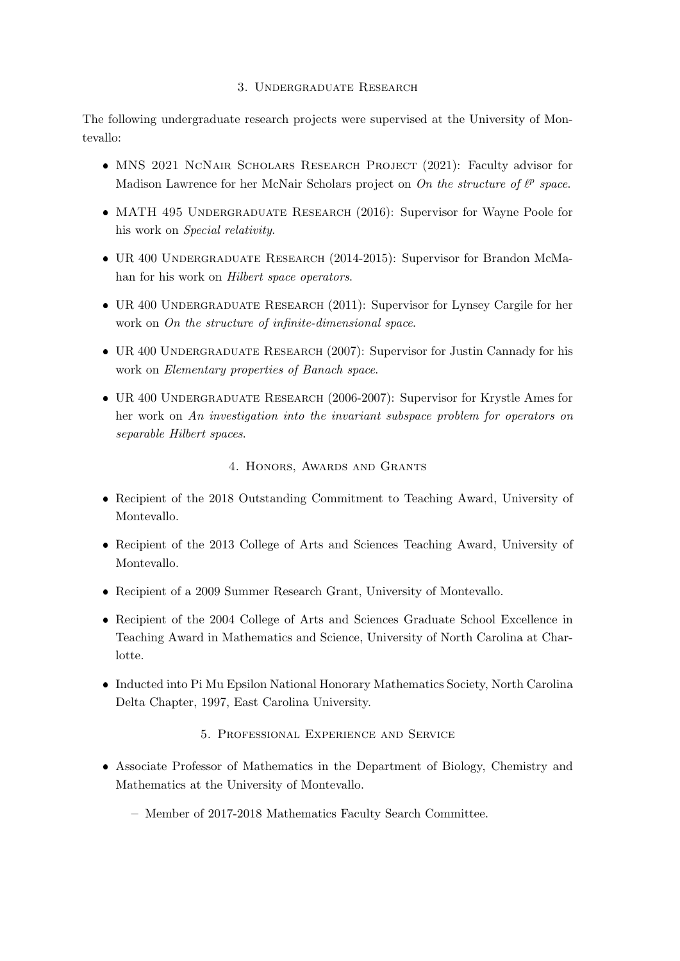## 3. Undergraduate Research

The following undergraduate research projects were supervised at the University of Montevallo:

- MNS 2021 NCNAIR SCHOLARS RESEARCH PROJECT (2021): Faculty advisor for Madison Lawrence for her McNair Scholars project on On the structure of  $\ell^p$  space.
- MATH 495 UNDERGRADUATE RESEARCH (2016): Supervisor for Wayne Poole for his work on Special relativity.
- UR 400 Undergraduate Research (2014-2015): Supervisor for Brandon McMahan for his work on Hilbert space operators.
- UR 400 UNDERGRADUATE RESEARCH (2011): Supervisor for Lynsey Cargile for her work on On the structure of infinite-dimensional space.
- UR 400 UNDERGRADUATE RESEARCH (2007): Supervisor for Justin Cannady for his work on Elementary properties of Banach space.
- UR 400 Undergraduate Research (2006-2007): Supervisor for Krystle Ames for her work on An investigation into the invariant subspace problem for operators on separable Hilbert spaces.

### 4. Honors, Awards and Grants

- Recipient of the 2018 Outstanding Commitment to Teaching Award, University of Montevallo.
- Recipient of the 2013 College of Arts and Sciences Teaching Award, University of Montevallo.
- Recipient of a 2009 Summer Research Grant, University of Montevallo.
- Recipient of the 2004 College of Arts and Sciences Graduate School Excellence in Teaching Award in Mathematics and Science, University of North Carolina at Charlotte.
- Inducted into Pi Mu Epsilon National Honorary Mathematics Society, North Carolina Delta Chapter, 1997, East Carolina University.
	- 5. Professional Experience and Service
- Associate Professor of Mathematics in the Department of Biology, Chemistry and Mathematics at the University of Montevallo.
	- Member of 2017-2018 Mathematics Faculty Search Committee.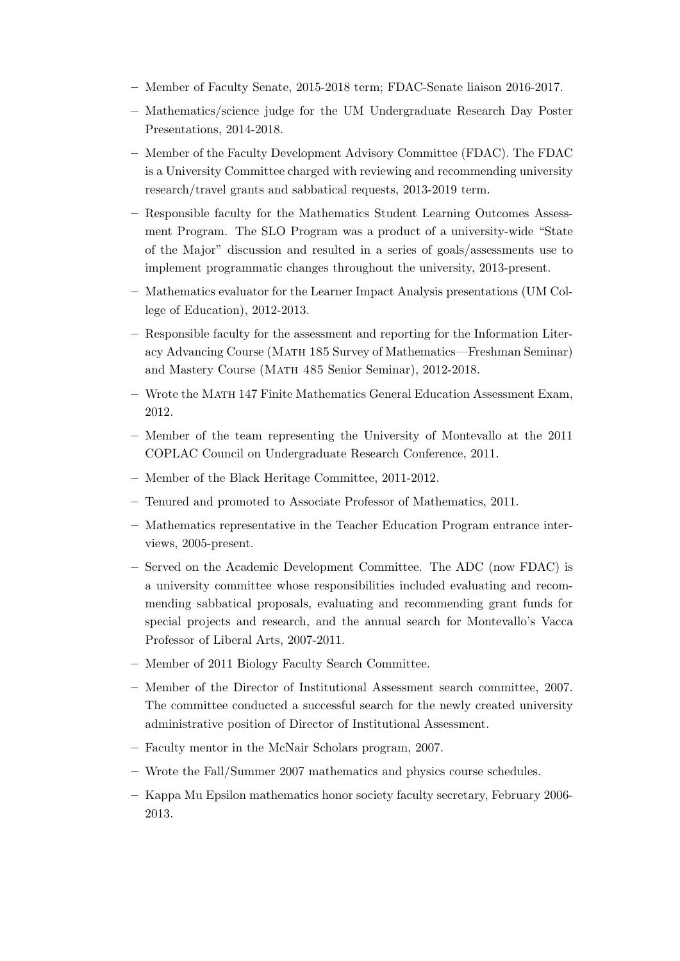- Member of Faculty Senate, 2015-2018 term; FDAC-Senate liaison 2016-2017.
- Mathematics/science judge for the UM Undergraduate Research Day Poster Presentations, 2014-2018.
- Member of the Faculty Development Advisory Committee (FDAC). The FDAC is a University Committee charged with reviewing and recommending university research/travel grants and sabbatical requests, 2013-2019 term.
- Responsible faculty for the Mathematics Student Learning Outcomes Assessment Program. The SLO Program was a product of a university-wide "State of the Major" discussion and resulted in a series of goals/assessments use to implement programmatic changes throughout the university, 2013-present.
- Mathematics evaluator for the Learner Impact Analysis presentations (UM College of Education), 2012-2013.
- Responsible faculty for the assessment and reporting for the Information Literacy Advancing Course (MATH 185 Survey of Mathematics—Freshman Seminar) and Mastery Course (Math 485 Senior Seminar), 2012-2018.
- Wrote the Math 147 Finite Mathematics General Education Assessment Exam, 2012.
- Member of the team representing the University of Montevallo at the 2011 COPLAC Council on Undergraduate Research Conference, 2011.
- Member of the Black Heritage Committee, 2011-2012.
- Tenured and promoted to Associate Professor of Mathematics, 2011.
- Mathematics representative in the Teacher Education Program entrance interviews, 2005-present.
- Served on the Academic Development Committee. The ADC (now FDAC) is a university committee whose responsibilities included evaluating and recommending sabbatical proposals, evaluating and recommending grant funds for special projects and research, and the annual search for Montevallo's Vacca Professor of Liberal Arts, 2007-2011.
- Member of 2011 Biology Faculty Search Committee.
- Member of the Director of Institutional Assessment search committee, 2007. The committee conducted a successful search for the newly created university administrative position of Director of Institutional Assessment.
- Faculty mentor in the McNair Scholars program, 2007.
- Wrote the Fall/Summer 2007 mathematics and physics course schedules.
- Kappa Mu Epsilon mathematics honor society faculty secretary, February 2006- 2013.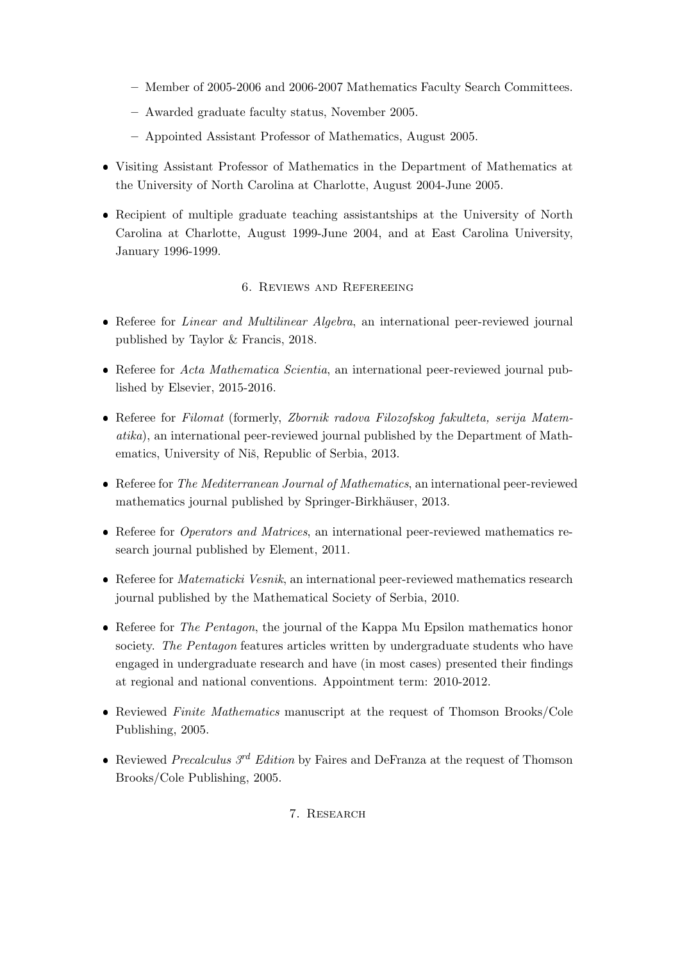- Member of 2005-2006 and 2006-2007 Mathematics Faculty Search Committees.
- Awarded graduate faculty status, November 2005.
- Appointed Assistant Professor of Mathematics, August 2005.
- Visiting Assistant Professor of Mathematics in the Department of Mathematics at the University of North Carolina at Charlotte, August 2004-June 2005.
- Recipient of multiple graduate teaching assistantships at the University of North Carolina at Charlotte, August 1999-June 2004, and at East Carolina University, January 1996-1999.

# 6. Reviews and Refereeing

- Referee for *Linear and Multilinear Algebra*, an international peer-reviewed journal published by Taylor & Francis, 2018.
- Referee for Acta Mathematica Scientia, an international peer-reviewed journal published by Elsevier, 2015-2016.
- Referee for Filomat (formerly, Zbornik radova Filozofskog fakulteta, serija Matematika), an international peer-reviewed journal published by the Department of Mathematics, University of Niš, Republic of Serbia, 2013.
- Referee for The Mediterranean Journal of Mathematics, an international peer-reviewed mathematics journal published by Springer-Birkhäuser, 2013.
- Referee for *Operators and Matrices*, an international peer-reviewed mathematics research journal published by Element, 2011.
- Referee for *Matematicki Vesnik*, an international peer-reviewed mathematics research journal published by the Mathematical Society of Serbia, 2010.
- Referee for *The Pentagon*, the journal of the Kappa Mu Epsilon mathematics honor society. The Pentagon features articles written by undergraduate students who have engaged in undergraduate research and have (in most cases) presented their findings at regional and national conventions. Appointment term: 2010-2012.
- Reviewed Finite Mathematics manuscript at the request of Thomson Brooks/Cole Publishing, 2005.
- Reviewed *Precalculus 3<sup>rd</sup> Edition* by Faires and DeFranza at the request of Thomson Brooks/Cole Publishing, 2005.

# 7. Research